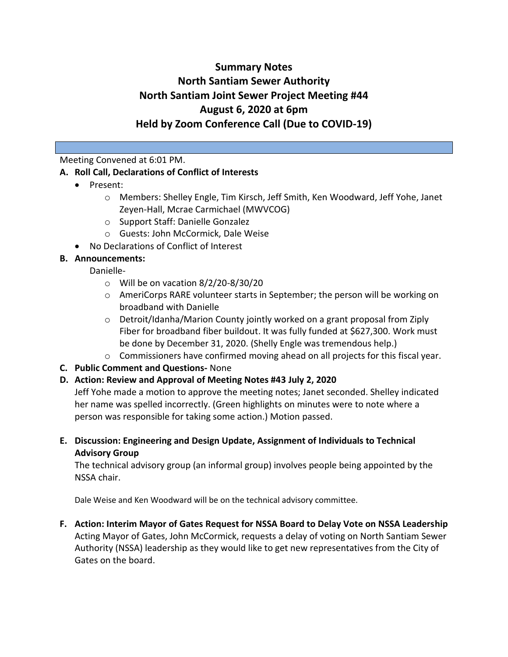# **Summary Notes North Santiam Sewer Authority North Santiam Joint Sewer Project Meeting #44 August 6, 2020 at 6pm Held by Zoom Conference Call (Due to COVID-19)**

## Meeting Convened at 6:01 PM.

## **A. Roll Call, Declarations of Conflict of Interests**

- Present:
	- o Members: Shelley Engle, Tim Kirsch, Jeff Smith, Ken Woodward, Jeff Yohe, Janet Zeyen-Hall, Mcrae Carmichael (MWVCOG)
	- o Support Staff: Danielle Gonzalez
	- o Guests: John McCormick, Dale Weise
- No Declarations of Conflict of Interest

# **B. Announcements:**

- Danielle
	- o Will be on vacation 8/2/20-8/30/20
	- o AmeriCorps RARE volunteer starts in September; the person will be working on broadband with Danielle
	- o Detroit/Idanha/Marion County jointly worked on a grant proposal from Ziply Fiber for broadband fiber buildout. It was fully funded at \$627,300. Work must be done by December 31, 2020. (Shelly Engle was tremendous help.)
	- o Commissioners have confirmed moving ahead on all projects for this fiscal year.
- **C. Public Comment and Questions-** None
- **D. Action: Review and Approval of Meeting Notes #43 July 2, 2020**

Jeff Yohe made a motion to approve the meeting notes; Janet seconded. Shelley indicated her name was spelled incorrectly. (Green highlights on minutes were to note where a person was responsible for taking some action.) Motion passed.

**E. Discussion: Engineering and Design Update, Assignment of Individuals to Technical Advisory Group**

The technical advisory group (an informal group) involves people being appointed by the NSSA chair.

Dale Weise and Ken Woodward will be on the technical advisory committee.

**F. Action: Interim Mayor of Gates Request for NSSA Board to Delay Vote on NSSA Leadership** Acting Mayor of Gates, John McCormick, requests a delay of voting on North Santiam Sewer Authority (NSSA) leadership as they would like to get new representatives from the City of Gates on the board.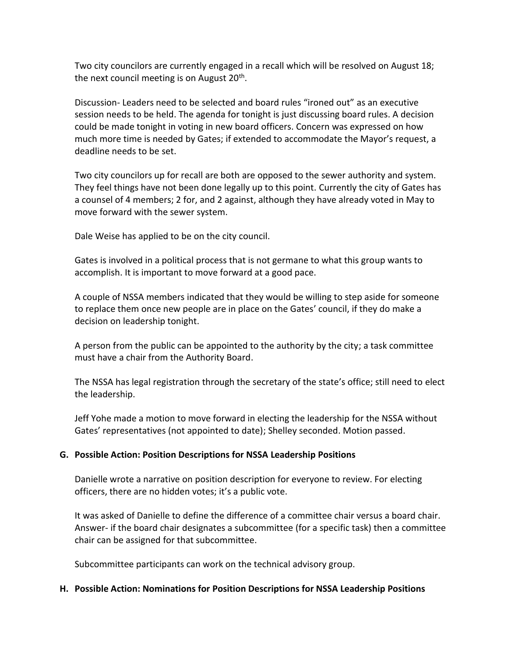Two city councilors are currently engaged in a recall which will be resolved on August 18; the next council meeting is on August 20<sup>th</sup>.

Discussion- Leaders need to be selected and board rules "ironed out" as an executive session needs to be held. The agenda for tonight is just discussing board rules. A decision could be made tonight in voting in new board officers. Concern was expressed on how much more time is needed by Gates; if extended to accommodate the Mayor's request, a deadline needs to be set.

Two city councilors up for recall are both are opposed to the sewer authority and system. They feel things have not been done legally up to this point. Currently the city of Gates has a counsel of 4 members; 2 for, and 2 against, although they have already voted in May to move forward with the sewer system.

Dale Weise has applied to be on the city council.

Gates is involved in a political process that is not germane to what this group wants to accomplish. It is important to move forward at a good pace.

A couple of NSSA members indicated that they would be willing to step aside for someone to replace them once new people are in place on the Gates' council, if they do make a decision on leadership tonight.

A person from the public can be appointed to the authority by the city; a task committee must have a chair from the Authority Board.

The NSSA has legal registration through the secretary of the state's office; still need to elect the leadership.

Jeff Yohe made a motion to move forward in electing the leadership for the NSSA without Gates' representatives (not appointed to date); Shelley seconded. Motion passed.

# **G. Possible Action: Position Descriptions for NSSA Leadership Positions**

Danielle wrote a narrative on position description for everyone to review. For electing officers, there are no hidden votes; it's a public vote.

It was asked of Danielle to define the difference of a committee chair versus a board chair. Answer- if the board chair designates a subcommittee (for a specific task) then a committee chair can be assigned for that subcommittee.

Subcommittee participants can work on the technical advisory group.

# **H. Possible Action: Nominations for Position Descriptions for NSSA Leadership Positions**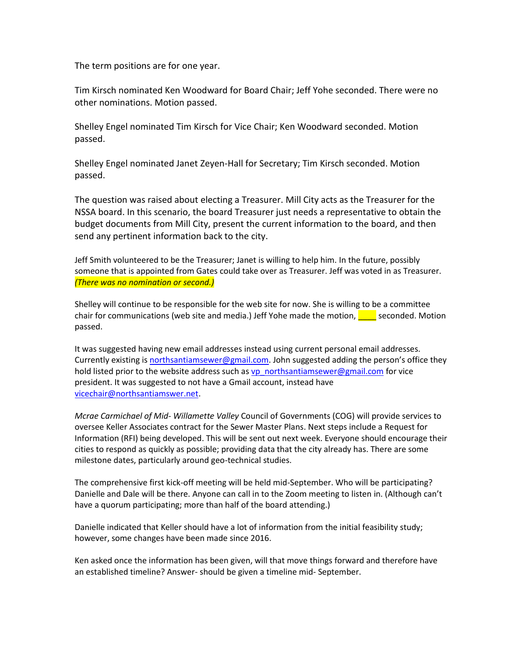The term positions are for one year.

Tim Kirsch nominated Ken Woodward for Board Chair; Jeff Yohe seconded. There were no other nominations. Motion passed.

Shelley Engel nominated Tim Kirsch for Vice Chair; Ken Woodward seconded. Motion passed.

Shelley Engel nominated Janet Zeyen-Hall for Secretary; Tim Kirsch seconded. Motion passed.

The question was raised about electing a Treasurer. Mill City acts as the Treasurer for the NSSA board. In this scenario, the board Treasurer just needs a representative to obtain the budget documents from Mill City, present the current information to the board, and then send any pertinent information back to the city.

Jeff Smith volunteered to be the Treasurer; Janet is willing to help him. In the future, possibly someone that is appointed from Gates could take over as Treasurer. Jeff was voted in as Treasurer. *(There was no nomination or second.)*

Shelley will continue to be responsible for the web site for now. She is willing to be a committee chair for communications (web site and media.) Jeff Yohe made the motion, we seconded. Motion passed.

It was suggested having new email addresses instead using current personal email addresses. Currently existing is [northsantiamsewer@gmail.com.](mailto:northsantiamsewer@gmail.com) John suggested adding the person's office they hold listed prior to the website address such a[s vp\\_northsantiamsewer@gmail.com](mailto:vp_northsantiamsewer@gmail.com) for vice president. It was suggested to not have a Gmail account, instead have vicechair@northsantiamswer.net.

*Mcrae Carmichael of Mid- Willamette Valley* Council of Governments (COG) will provide services to oversee Keller Associates contract for the Sewer Master Plans. Next steps include a Request for Information (RFI) being developed. This will be sent out next week. Everyone should encourage their cities to respond as quickly as possible; providing data that the city already has. There are some milestone dates, particularly around geo-technical studies.

The comprehensive first kick-off meeting will be held mid-September. Who will be participating? Danielle and Dale will be there. Anyone can call in to the Zoom meeting to listen in. (Although can't have a quorum participating; more than half of the board attending.)

Danielle indicated that Keller should have a lot of information from the initial feasibility study; however, some changes have been made since 2016.

Ken asked once the information has been given, will that move things forward and therefore have an established timeline? Answer- should be given a timeline mid- September.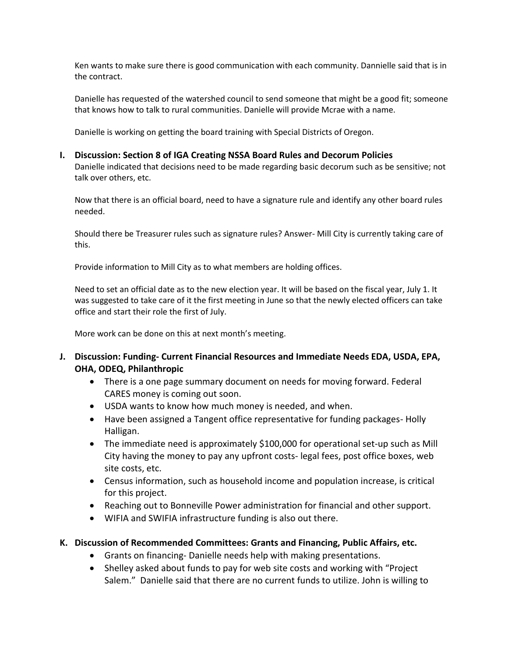Ken wants to make sure there is good communication with each community. Dannielle said that is in the contract.

Danielle has requested of the watershed council to send someone that might be a good fit; someone that knows how to talk to rural communities. Danielle will provide Mcrae with a name.

Danielle is working on getting the board training with Special Districts of Oregon.

#### **I. Discussion: Section 8 of IGA Creating NSSA Board Rules and Decorum Policies**

Danielle indicated that decisions need to be made regarding basic decorum such as be sensitive; not talk over others, etc.

Now that there is an official board, need to have a signature rule and identify any other board rules needed.

Should there be Treasurer rules such as signature rules? Answer- Mill City is currently taking care of this.

Provide information to Mill City as to what members are holding offices.

Need to set an official date as to the new election year. It will be based on the fiscal year, July 1. It was suggested to take care of it the first meeting in June so that the newly elected officers can take office and start their role the first of July.

More work can be done on this at next month's meeting.

- **J. Discussion: Funding- Current Financial Resources and Immediate Needs EDA, USDA, EPA, OHA, ODEQ, Philanthropic**
	- There is a one page summary document on needs for moving forward. Federal CARES money is coming out soon.
	- USDA wants to know how much money is needed, and when.
	- Have been assigned a Tangent office representative for funding packages- Holly Halligan.
	- The immediate need is approximately \$100,000 for operational set-up such as Mill City having the money to pay any upfront costs- legal fees, post office boxes, web site costs, etc.
	- Census information, such as household income and population increase, is critical for this project.
	- Reaching out to Bonneville Power administration for financial and other support.
	- WIFIA and SWIFIA infrastructure funding is also out there.

### **K. Discussion of Recommended Committees: Grants and Financing, Public Affairs, etc.**

- Grants on financing- Danielle needs help with making presentations.
- Shelley asked about funds to pay for web site costs and working with "Project Salem." Danielle said that there are no current funds to utilize. John is willing to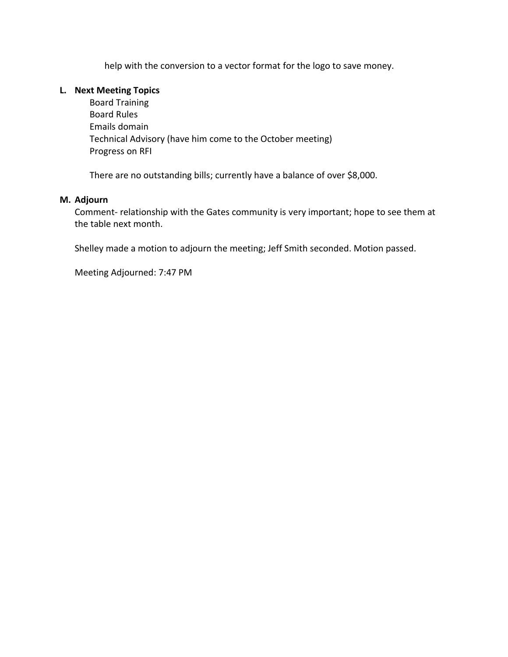help with the conversion to a vector format for the logo to save money.

#### **L. Next Meeting Topics**

Board Training Board Rules Emails domain Technical Advisory (have him come to the October meeting) Progress on RFI

There are no outstanding bills; currently have a balance of over \$8,000.

#### **M. Adjourn**

Comment- relationship with the Gates community is very important; hope to see them at the table next month.

Shelley made a motion to adjourn the meeting; Jeff Smith seconded. Motion passed.

Meeting Adjourned: 7:47 PM